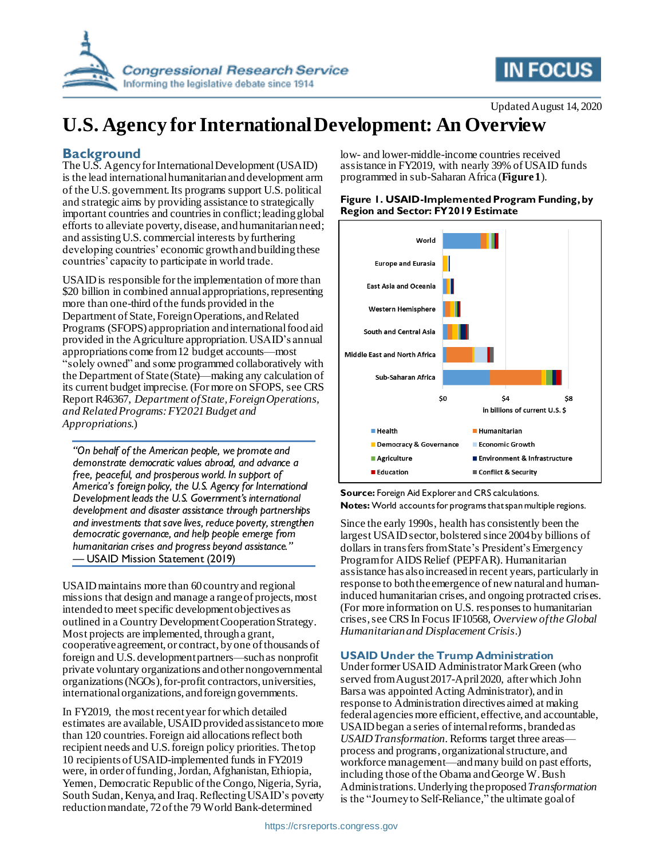

# Updated August 14, 2020 **U.S. Agency for International Development: An Overview**

### **Background**

The U.S. Agency for International Development (USAID) is the lead international humanitarian and development arm of the U.S. government. Its programs support U.S. political and strategic aims by providing assistance to strategically important countries and countries in conflict; leadingglobal efforts to alleviate poverty, disease, and humanitarian need; and assistingU.S. commercial interests by furthering developing countries' economic growth and building these countries' capacity to participate in world trade.

USAID is responsible for the implementation of more than \$20 billion in combined annual appropriations, representing more than one-third of the funds provided in the Department of State, Foreign Operations, and Related Programs (SFOPS) appropriation and international food aid provided in the Agriculture appropriation. USAID's annual appropriations come from 12 budget accounts—most "solely owned" and some programmed collaboratively with the Department of State (State)—making any calculation of its current budget imprecise.(For more on SFOPS, see CRS Report R46367, *Department of State, Foreign Operations, and Related Programs: FY2021 Budget and Appropriations*.)

*"On behalf of the American people, we promote and demonstrate democratic values abroad, and advance a free, peaceful, and prosperous world. In support of America's foreign policy, the U.S. Agency for International Development leads the U.S. Government's international development and disaster assistance through partnerships and investments that save lives, reduce poverty, strengthen democratic governance, and help people emerge from humanitarian crises and progress beyond assistance."* — USAID Mission Statement (2019)

USAID maintains more than 60country and regional missions that design and manage a range of projects, most intended to meet specific development objectives as outlined in a Country Development Cooperation Strategy. Most projects are implemented, through a grant, cooperative agreement, or contract, by one of thousands of foreign and U.S. development partners—such as nonprofit private voluntary organizations and other nongovernmental organizations (NGOs), for-profit contractors, universities, international organizations, and foreign governments.

In FY2019, the most recent year for which detailed estimates are available, USAID provided assistance to more than 120 countries.Foreign aid allocations reflect both recipient needs and U.S. foreign policy priorities. The top 10 recipients of USAID-implemented funds in FY2019 were, in order of funding, Jordan, Afghanistan, Ethiopia, Yemen, Democratic Republic of the Congo, Nigeria, Syria, South Sudan, Kenya, and Iraq. Reflecting USAID's poverty reduction mandate, 72of the 79 World Bank-determined

low- and lower-middle-income countries received assistance in FY2019, with nearly 39% of USAID funds programmed in sub-Saharan Africa (**[Figure 1](#page-0-0)**).

**IN FOCUS** 

#### <span id="page-0-0"></span>**Figure 1. USAID-Implemented Program Funding,by Region and Sector: FY2019 Estimate**



**Source:** Foreign Aid Explorer and CRS calculations. **Notes:** World accounts for programs that span multiple regions.

Since the early 1990s, health has consistently been the largest USAID sector, bolstered since 2004 by billions of dollars in transfers from State's President's Emergency Program for AIDS Relief (PEPFAR). Humanitarian assistance has alsoincreased in recent years, particularly in response to both theemergence of newnatural and humaninduced humanitarian crises, and ongoing protracted crises. (For more information on U.S. responses to humanitarian crises, see CRS In Focus IF10568, *Overview of the Global Humanitarian and Displacement Crisis*.)

#### **USAID Under the Trump Administration**

Under former USAID Administrator Mark Green (who served from August 2017-April 2020, after which John Barsa was appointed Acting Administrator), and in response to Administration directives aimed at making federal agencies more efficient, effective, and accountable, USAID began a series of internal reforms, branded as *USAID Transformation.*Reforms target three areas process and programs, organizational structure, and workforce management—and many build on past efforts, including those of the Obama and George W. Bush Administrations. Underlying the proposed *Transformation* is the "Journey to Self-Reliance," the ultimate goal of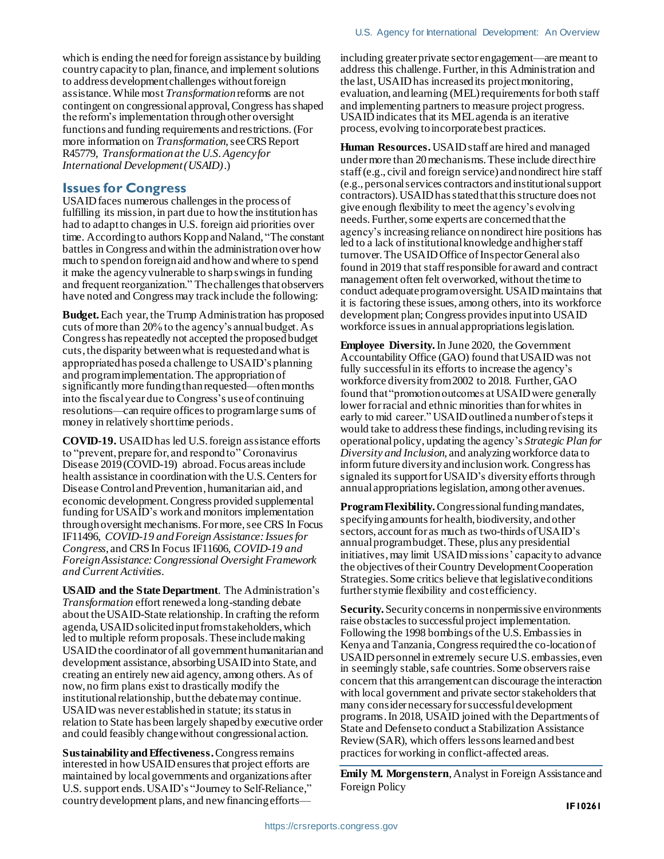which is ending the need for foreign assistance by building country capacity to plan, finance, and implement solutions to address development challenges without foreign assistance.While most *Transformation* reforms are not contingent on congressional approval, Congress hasshaped the reform's implementation through other oversight functions and funding requirements and restrictions. (For more information on *Transformation,* seeCRS Report R45779, *Transformation at the U.S. Agency for International Development (USAID)*.)

### **Issues for Congress**

USAID faces numerous challenges in the process of fulfilling its mission, in part due to how the institution has had to adapt to changes in U.S. foreign aid priorities over time. According to authors Kopp and Naland, "The constant battles in Congress and within the administration over how much to spend on foreign aid and how and where to spend it make the agency vulnerable to sharp swings in funding and frequent reorganization." Thechallenges that observers have noted and Congress may track include the following:

**Budget.** Each year, the Trump Administration has proposed cuts of more than 20% to the agency's annual budget. As Congress has repeatedly not accepted the proposed budget cuts, the disparity between what is requested and what is appropriated has posed a challenge to USAID's planning and program implementation.The appropriation of significantly more funding than requested—often months into the fiscal year due to Congress's use of continuing resolutions—can require offices to program large sums of money in relatively short time periods.

**COVID-19.** USAID has led U.S. foreign assistance efforts to "prevent, prepare for, and respond to" Coronavirus Disease 2019 (COVID-19) abroad. Focus areas include health assistance in coordination with the U.S. Centers for Disease Control and Prevention, humanitarian aid, and economic development. Congress provided supplemental funding for USAID's work and monitors implementation through oversight mechanisms. For more, see CRS In Focus IF11496, *COVID-19 and Foreign Assistance: Issues for Congress*, and CRS In Focus IF11606, *COVID-19 and Foreign Assistance: Congressional Oversight Framework and Current Activities*.

**USAID and the State Department**. The Administration's *Transformation* effort renewed a long-standing debate about the USAID-State relationship. In crafting the reform agenda, USAID solicited input from stakeholders, which led to multiple reform proposals. These includemaking USAID the coordinator of all government humanitarian and development assistance, absorbing USAID into State, and creating an entirely new aid agency, among others. As of now, no firm plans exist to drastically modify the institutional relationship, but the debate may continue. USAID was never established in statute; its status in relation to State has been largely shaped by executive order and could feasibly change without congressional action.

**Sustainability and Effectiveness.**Congress remains interested in how USAID ensures that project efforts are maintained by local governments and organizations after U.S. support ends.USAID's "Journey to Self-Reliance," country development plans, and new financing effortsincluding greater private sector engagement—are meant to address this challenge. Further, in this Administration and the last, USAID has increased its project monitoring, evaluation, and learning (MEL) requirements for both staff and implementing partners to measure project progress. USAID indicates that its MEL agenda is an iterative process, evolving to incorporate best practices.

**Human Resources.** USAID staff are hired and managed under more than 20 mechanisms. These include direct hire staff (e.g., civil and foreign service) and nondirect hire staff (e.g., personal services contractors and institutional support contractors). USAID has stated that this structure does not give enough flexibility to meet the agency's evolving needs. Further, some experts are concerned that the agency's increasingreliance on nondirect hire positions has led to a lack of institutional knowledge andhigher staff turnover.The USAID Office of Inspector General also found in 2019 that staff responsible for award and contract management often felt overworked, without the time to conduct adequateprogram oversight.USAID maintains that it is factoring these issues, among others, into its workforce development plan; Congress providesinput into USAID workforce issues in annual appropriations legislation.

**Employee Diversity.** In June 2020, the Government Accountability Office (GAO) found that USAID was not fully successfulin its efforts to increase the agency's workforce diversity from 2002 to 2018. Further, GAO found that "promotion outcomes at USAID were generally lower for racial and ethnic minorities than for whites in early to mid career." USAID outlined a number of steps it would take to address these findings, including revising its operational policy, updating the agency's *Strategic Plan for Diversity and Inclusion,* and analyzing workforce data to inform future diversity and inclusion work. Congress has signaled its support for USAID's diversity efforts through annual appropriations legislation, among other avenues.

**Program Flexibility.**Congressional funding mandates, specifying amounts for health, biodiversity, and other sectors, account for as much as two-thirds of USAID's annual program budget. These, plus any presidential initiatives, may limit USAID missions' capacity to advance the objectives oftheir Country Development Cooperation Strategies. Some critics believe that legislative conditions further stymie flexibility and cost efficiency.

**Security.** Security concerns in nonpermissive environments raise obstacles to successful project implementation. Following the 1998 bombings of the U.S. Embassies in Kenya and Tanzania, Congressrequiredthe co-location of USAIDpersonnelin extremely secure U.S. embassies, even in seemingly stable, safe countries. Some observers raise concern that this arrangement can discourage the interaction with local government and private sector stakeholders that many consider necessary for successful development programs. In 2018, USAID joined with the Departments of State and Defense to conduct a Stabilization Assistance Review(SAR), which offers lessons learned and best practices for working in conflict-affected areas.

**Emily M. Morgenstern**, Analyst in Foreign Assistance and Foreign Policy